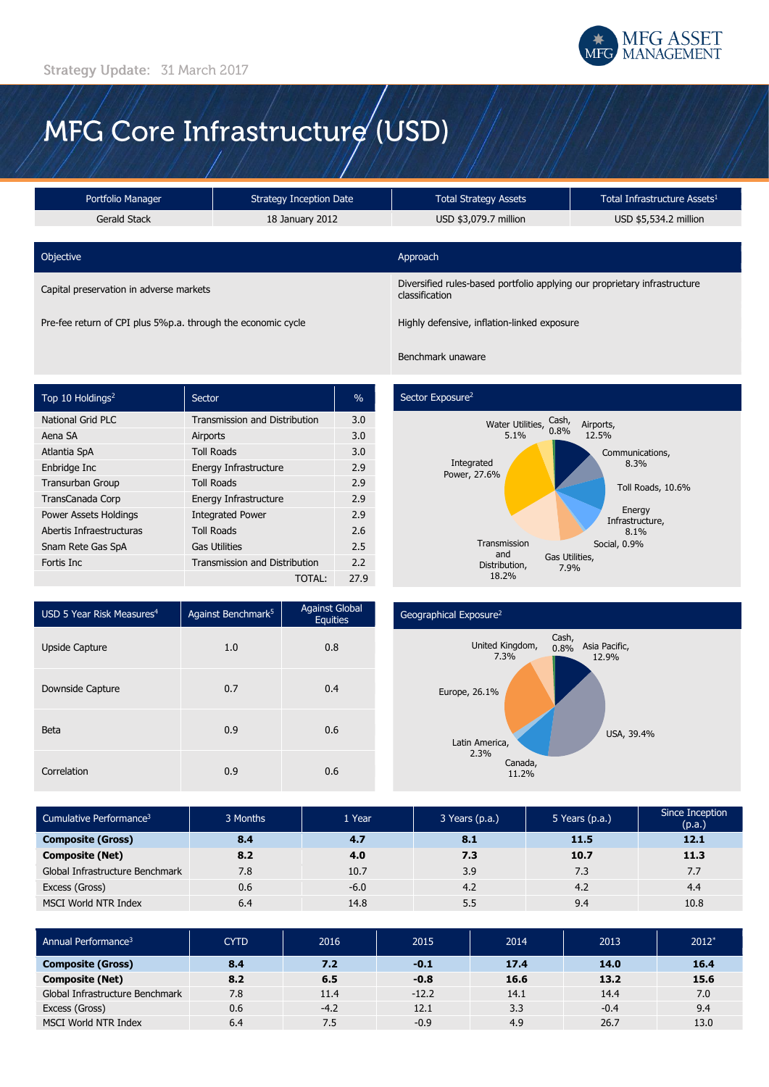

# MFG Core Infrastructure (USD)

| Portfolio Manager<br><b>Strategy Inception Date</b> |                 | <b>Total Strategy Assets</b>                                                                | Total Infrastructure Assets <sup>1</sup> |  |  |
|-----------------------------------------------------|-----------------|---------------------------------------------------------------------------------------------|------------------------------------------|--|--|
| Gerald Stack                                        | 18 January 2012 |                                                                                             | USD \$5,534.2 million                    |  |  |
|                                                     |                 |                                                                                             |                                          |  |  |
| Objective                                           |                 | Approach                                                                                    |                                          |  |  |
| Capital preservation in adverse markets             |                 | Diversified rules-based portfolio applying our proprietary infrastructure<br>classification |                                          |  |  |
|                                                     |                 |                                                                                             |                                          |  |  |

Pre-fee return of CPI plus 5%p.a. through the economic cycle Highly defensive, inflation-linked exposure

## Benchmark unaware

| Top 10 Holdings <sup>2</sup> | Sector                               | $\frac{0}{0}$ |
|------------------------------|--------------------------------------|---------------|
| <b>National Grid PLC</b>     | <b>Transmission and Distribution</b> | 3.0           |
| Aena SA                      | Airports                             | 3.0           |
| Atlantia SpA                 | <b>Toll Roads</b>                    | 3.0           |
| Enbridge Inc                 | Energy Infrastructure                | 2.9           |
| <b>Transurban Group</b>      | <b>Toll Roads</b>                    | 2.9           |
| TransCanada Corp             | Energy Infrastructure                | 2.9           |
| Power Assets Holdings        | <b>Integrated Power</b>              | 2.9           |
| Abertis Infraestructuras     | <b>Toll Roads</b>                    | 2.6           |
| Snam Rete Gas SpA            | <b>Gas Utilities</b>                 | 2.5           |
| Fortis Inc                   | <b>Transmission and Distribution</b> | 2.2           |
|                              | TOTAL:                               | 27.9          |

# Sector Exposure<sup>2</sup>



| USD 5 Year Risk Measures <sup>4</sup> | Against Benchmark <sup>5</sup> | <b>Against Global</b><br><b>Equities</b> |  |
|---------------------------------------|--------------------------------|------------------------------------------|--|
| <b>Upside Capture</b>                 | 1.0                            | 0.8                                      |  |
| Downside Capture                      | 0.7                            | 0.4                                      |  |
| <b>Beta</b>                           | 0.9                            | 0.6                                      |  |
| Correlation                           | 0.9                            | 0.6                                      |  |

### Geographical Exposure<sup>2</sup>



| Cumulative Performance <sup>3</sup> | 3 Months | 1 Year | 3 Years (p.a.) | 5 Years (p.a.) | Since Inception<br>(p.a.) |
|-------------------------------------|----------|--------|----------------|----------------|---------------------------|
| <b>Composite (Gross)</b>            | 8.4      | 4.7    | 8.1            | 11.5           | 12.1                      |
| <b>Composite (Net)</b>              | 8.2      | 4.0    | 7.3            | 10.7           | 11.3                      |
| Global Infrastructure Benchmark     | 7.8      | 10.7   | 3.9            | 7.3            | 7.7                       |
| Excess (Gross)                      | 0.6      | $-6.0$ | 4.2            | 4.2            | 4.4                       |
| MSCI World NTR Index                | 6.4      | 14.8   | 5.5            | 9.4            | 10.8                      |

| Annual Performance <sup>3</sup> | <b>CYTD</b> | 2016   | 2015    | 2014 | 2013   | $2012*$ |
|---------------------------------|-------------|--------|---------|------|--------|---------|
| <b>Composite (Gross)</b>        | 8.4         | 7.2    | $-0.1$  | 17.4 | 14.0   | 16.4    |
| <b>Composite (Net)</b>          | 8.2         | 6.5    | $-0.8$  | 16.6 | 13.2   | 15.6    |
| Global Infrastructure Benchmark | 7.8         | 11.4   | $-12.2$ | 14.1 | 14.4   | 7.0     |
| Excess (Gross)                  | 0.6         | $-4.2$ | 12.1    | 3.3  | $-0.4$ | 9.4     |
| MSCI World NTR Index            | 6.4         | 7.5    | $-0.9$  | 4.9  | 26.7   | 13.0    |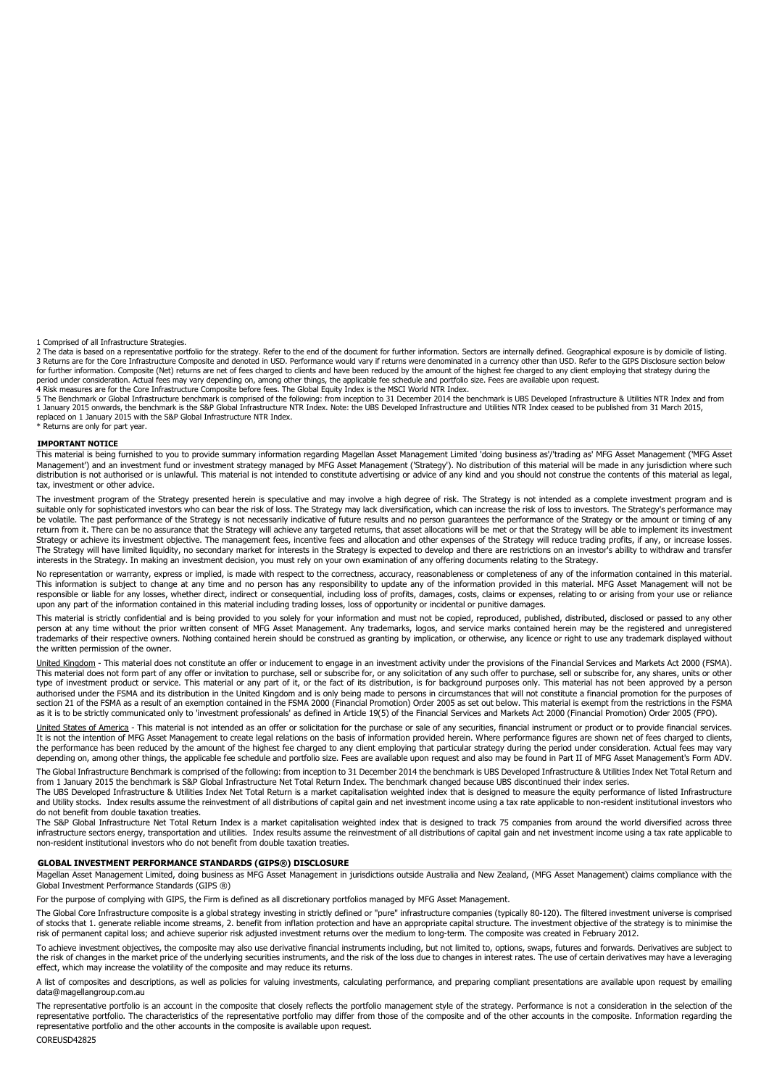1 Comprised of all Infrastructure Strategies.

2 The data is based on a representative portfolio for the strategy. Refer to the end of the document for further information. Sectors are internally defined. Geographical exposure is by domicile of listing. 3 Returns are for the Core Infrastructure Composite and denoted in USD. Performance would vary if returns were denominated in a currency other than USD. Refer to the GIPS Disclosure section below<br>for further information. C period under consideration. Actual fees may vary depending on, among other things, the applicable fee schedule and portfolio size. Fees are available upon request.<br>4 Risk measures are for the Core Infrastructure Composite

5 The Benchmark or Global Infrastructure benchmark is comprised of the following: from inception to 31 December 2014 the benchmark is UBS Developed Infrastructure & Utilities NTR Index and from<br>1 January 2015 onwards, the replaced on 1 January 2015 with the S&P Global Infrastructure NTR Index. \* Returns are only for part year.

#### **IMPORTANT NOTICE**

This material is being furnished to you to provide summary information regarding Magellan Asset Management Limited 'doing business as'/'trading as' MFG Asset Management ('MFG Asset<br>Management') and an investment fund or in tax, investment or other advice.

The investment program of the Strategy presented herein is speculative and may involve a high degree of risk. The Strategy is not intended as a complete investment program and is<br>suitable only for sophisticated investors w be volatile. The past performance of the Strategy is not necessarily indicative of future results and no person guarantees the performance of the Strategy or the amount or timing of any<br>return from it. There can be no assu Strategy or achieve its investment objective. The management fees, incentive fees and allocation and other expenses of the Strategy will reduce trading profits, if any, or increase losses. The Strategy will have limited liquidity, no secondary market for interests in the Strategy is expected to develop and there are restrictions on an investor's ability to withdraw and transfer interests in the Strategy. In making an investment decision, you must rely on your own examination of any offering documents relating to the Strategy.

No representation or warranty, express or implied, is made with respect to the correctness, accuracy, reasonableness or completeness of any of the information contained in this material. This information is subject to change at any time and no person has any responsibility to update any of the information provided in this material. MFG Asset Management will not be<br>responsible or liable for any losses, whet upon any part of the information contained in this material including trading losses, loss of opportunity or incidental or punitive damages.

This material is strictly confidential and is being provided to you solely for your information and must not be copied, reproduced, published, distributed, disclosed or passed to any other person at any time without the prior written consent of MFG Asset Management. Any trademarks, logos, and service marks contained herein may be the registered and unregistered<br>trademarks of their respective owners. Nothing the written permission of the owner.

United Kingdom - This material does not constitute an offer or inducement to engage in an investment activity under the provisions of the Financial Services and Markets Act 2000 (FSMA). This material does not form part of any offer or invitation to purchase, sell or subscribe for, or any solicitation of any such offer to purchase, sell or subscribe for, any shares, units or other type of investment product or service. This material or any part of it, or the fact of its distribution, is for background purposes only. This material has not been approved by a person authorised under the FSMA and its distribution in the United Kingdom and is only being made to persons in circumstances that will not constitute a financial promotion for the purposes of<br>section 21 of the FSMA as a result as it is to be strictly communicated only to 'investment professionals' as defined in Article 19(5) of the Financial Services and Markets Act 2000 (Financial Promotion) Order 2005 (FPO).

United States of America - This material is not intended as an offer or solicitation for the purchase or sale of any securities, financial instrument or product or to provide financial services. It is not the intention of MFG Asset Management to create legal relations on the basis of information provided herein. Where performance figures are shown net of fees charged to clients, the performance has been reduced by the amount of the highest fee charged to any client employing that particular strategy during the period under consideration. Actual fees may vary<br>depending on, among other things, the a

The Global Infrastructure Benchmark is comprised of the following: from inception to 31 December 2014 the benchmark is UBS Developed Infrastructure & Utilities Index Net Total Return and from 1 January 2015 the benchmark is S&P Global Infrastructure Net Total Return Index. The benchmark changed because UBS discontinued their index series.

The UBS Developed Infrastructure & Utilities Index Net Total Return is a market capitalisation weighted index that is designed to measure the equity performance of listed Infrastructure and Utility stocks. Index results assume the reinvestment of all distributions of capital gain and net investment income using a tax rate applicable to non-resident institutional investors who do not benefit from double taxation treaties.

The S&P Global Infrastructure Net Total Return Index is a market capitalisation weighted index that is designed to track 75 companies from around the world diversified across three infrastructure sectors energy, transportation and utilities. Index results assume the reinvestment of all distributions of capital gain and net investment income using a tax rate applicable to non-resident institutional investors who do not benefit from double taxation treaties.

#### **GLOBAL INVESTMENT PERFORMANCE STANDARDS (GIPS®) DISCLOSURE**

Magellan Asset Management Limited, doing business as MFG Asset Management in jurisdictions outside Australia and New Zealand, (MFG Asset Management) claims compliance with the Global Investment Performance Standards (GIPS ®)

For the purpose of complying with GIPS, the Firm is defined as all discretionary portfolios managed by MFG Asset Management.

The Global Core Infrastructure composite is a global strategy investing in strictly defined or "pure" infrastructure companies (typically 80-120). The filtered investment universe is comprised of stocks that 1. generate reliable income streams, 2. benefit from inflation protection and have an appropriate capital structure. The investment objective of the strategy is to minimise the risk of permanent capital loss; and achieve superior risk adjusted investment returns over the medium to long-term. The composite was created in February 2012.

To achieve investment objectives, the composite may also use derivative financial instruments including, but not limited to, options, swaps, futures and forwards. Derivatives are subject to the risk of changes in the market price of the underlying securities instruments, and the risk of the loss due to changes in interest rates. The use of certain derivatives may have a leveraging<br>effect, which may increase t

A list of composites and descriptions, as well as policies for valuing investments, calculating performance, and preparing compliant presentations are available upon request by emailing data@magellangroup.com.au

The representative portfolio is an account in the composite that closely reflects the portfolio management style of the strategy. Performance is not a consideration in the selection of the representative portfolio. The characteristics of the representative portfolio may differ from those of the composite and of the other accounts in the composite. Information regarding the<br>representative portfolio and the ot

COREUSD42825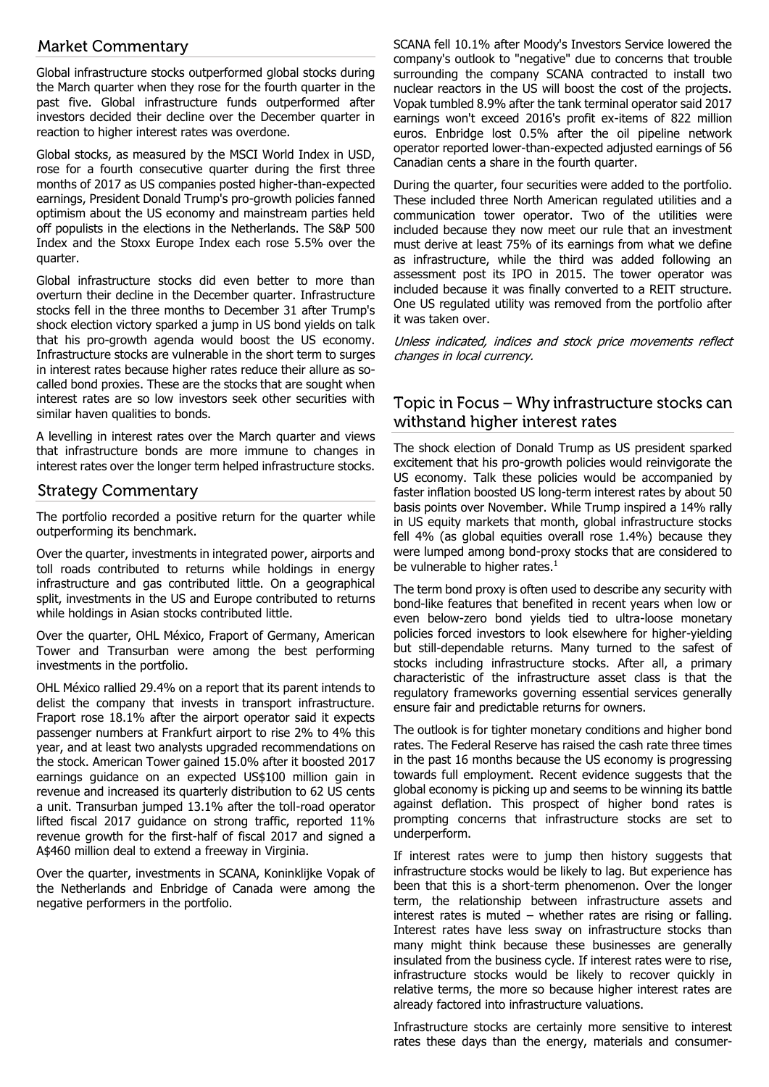# **Market Commentary**

Global infrastructure stocks outperformed global stocks during the March quarter when they rose for the fourth quarter in the past five. Global infrastructure funds outperformed after investors decided their decline over the December quarter in reaction to higher interest rates was overdone.

Global stocks, as measured by the MSCI World Index in USD, rose for a fourth consecutive quarter during the first three months of 2017 as US companies posted higher-than-expected earnings, President Donald Trump's pro-growth policies fanned optimism about the US economy and mainstream parties held off populists in the elections in the Netherlands. The S&P 500 Index and the Stoxx Europe Index each rose 5.5% over the quarter.

Global infrastructure stocks did even better to more than overturn their decline in the December quarter. Infrastructure stocks fell in the three months to December 31 after Trump's shock election victory sparked a jump in US bond yields on talk that his pro-growth agenda would boost the US economy. Infrastructure stocks are vulnerable in the short term to surges in interest rates because higher rates reduce their allure as socalled bond proxies. These are the stocks that are sought when interest rates are so low investors seek other securities with similar haven qualities to bonds.

A levelling in interest rates over the March quarter and views that infrastructure bonds are more immune to changes in interest rates over the longer term helped infrastructure stocks.

## **Strategy Commentary**

The portfolio recorded a positive return for the quarter while outperforming its benchmark.

Over the quarter, investments in integrated power, airports and toll roads contributed to returns while holdings in energy infrastructure and gas contributed little. On a geographical split, investments in the US and Europe contributed to returns while holdings in Asian stocks contributed little.

Over the quarter, OHL México, Fraport of Germany, American Tower and Transurban were among the best performing investments in the portfolio.

OHL México rallied 29.4% on a report that its parent intends to delist the company that invests in transport infrastructure. Fraport rose 18.1% after the airport operator said it expects passenger numbers at Frankfurt airport to rise 2% to 4% this year, and at least two analysts upgraded recommendations on the stock. American Tower gained 15.0% after it boosted 2017 earnings guidance on an expected US\$100 million gain in revenue and increased its quarterly distribution to 62 US cents a unit. Transurban jumped 13.1% after the toll-road operator lifted fiscal 2017 guidance on strong traffic, reported 11% revenue growth for the first-half of fiscal 2017 and signed a A\$460 million deal to extend a freeway in Virginia.

Over the quarter, investments in SCANA, Koninklijke Vopak of the Netherlands and Enbridge of Canada were among the negative performers in the portfolio.

SCANA fell 10.1% after Moody's Investors Service lowered the company's outlook to "negative" due to concerns that trouble surrounding the company SCANA contracted to install two nuclear reactors in the US will boost the cost of the projects. Vopak tumbled 8.9% after the tank terminal operator said 2017 earnings won't exceed 2016's profit ex-items of 822 million euros. Enbridge lost 0.5% after the oil pipeline network operator reported lower-than-expected adjusted earnings of 56 Canadian cents a share in the fourth quarter.

During the quarter, four securities were added to the portfolio. These included three North American regulated utilities and a communication tower operator. Two of the utilities were included because they now meet our rule that an investment must derive at least 75% of its earnings from what we define as infrastructure, while the third was added following an assessment post its IPO in 2015. The tower operator was included because it was finally converted to a REIT structure. One US regulated utility was removed from the portfolio after it was taken over.

Unless indicated, indices and stock price movements reflect changes in local currency.

# Topic in Focus - Why infrastructure stocks can withstand higher interest rates

The shock election of Donald Trump as US president sparked excitement that his pro-growth policies would reinvigorate the US economy. Talk these policies would be accompanied by faster inflation boosted US long-term interest rates by about 50 basis points over November. While Trump inspired a 14% rally in US equity markets that month, global infrastructure stocks fell 4% (as global equities overall rose 1.4%) because they were lumped among bond-proxy stocks that are considered to be vulnerable to higher rates.<sup>1</sup>

The term bond proxy is often used to describe any security with bond-like features that benefited in recent years when low or even below-zero bond yields tied to ultra-loose monetary policies forced investors to look elsewhere for higher-yielding but still-dependable returns. Many turned to the safest of stocks including infrastructure stocks. After all, a primary characteristic of the infrastructure asset class is that the regulatory frameworks governing essential services generally ensure fair and predictable returns for owners.

The outlook is for tighter monetary conditions and higher bond rates. The Federal Reserve has raised the cash rate three times in the past 16 months because the US economy is progressing towards full employment. Recent evidence suggests that the global economy is picking up and seems to be winning its battle against deflation. This prospect of higher bond rates is prompting concerns that infrastructure stocks are set to underperform.

If interest rates were to jump then history suggests that infrastructure stocks would be likely to lag. But experience has been that this is a short-term phenomenon. Over the longer term, the relationship between infrastructure assets and interest rates is muted – whether rates are rising or falling. Interest rates have less sway on infrastructure stocks than many might think because these businesses are generally insulated from the business cycle. If interest rates were to rise, infrastructure stocks would be likely to recover quickly in relative terms, the more so because higher interest rates are already factored into infrastructure valuations.

Infrastructure stocks are certainly more sensitive to interest rates these days than the energy, materials and consumer